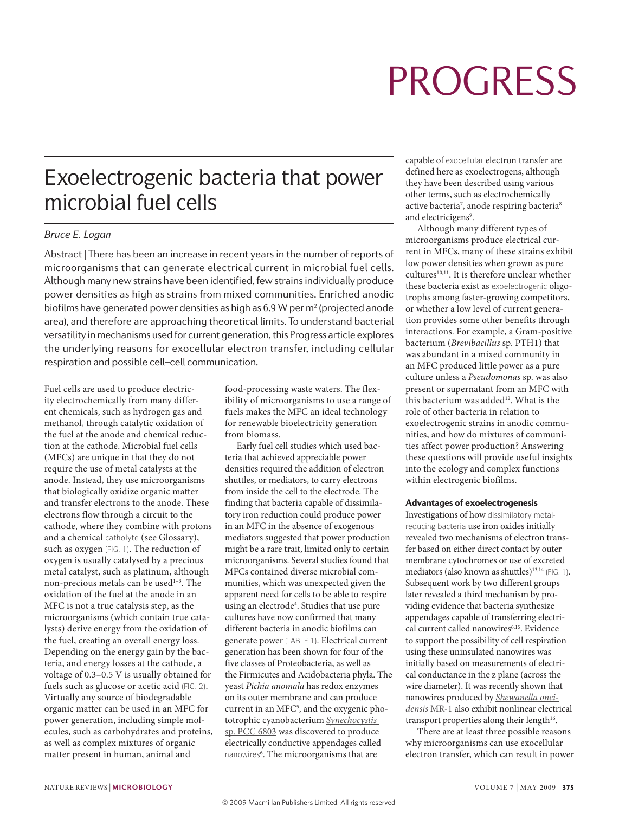# Exoelectrogenic bacteria that power microbial fuel cells

#### *Bruce E. Logan*

Abstract | There has been an increase in recent years in the number of reports of microorganisms that can generate electrical current in microbial fuel cells. Although many new strains have been identified, few strains individually produce power densities as high as strains from mixed communities. Enriched anodic biofilms have generated power densities as high as 6.9 W per  $m^2$  (projected anode area), and therefore are approaching theoretical limits. To understand bacterial versatility in mechanisms used for current generation, this Progress article explores the underlying reasons for exocellular electron transfer, including cellular respiration and possible cell–cell communication.

Fuel cells are used to produce electricity electrochemically from many different chemicals, such as hydrogen gas and methanol, through catalytic oxidation of the fuel at the anode and chemical reduction at the cathode. Microbial fuel cells (MFCs) are unique in that they do not require the use of metal catalysts at the anode. Instead, they use microorganisms that biologically oxidize organic matter and transfer electrons to the anode. These electrons flow through a circuit to the cathode, where they combine with protons and a chemical catholyte (see Glossary), such as oxygen (FIG. 1). The reduction of oxygen is usually catalysed by a precious metal catalyst, such as platinum, although non-precious metals can be used<sup>1-3</sup>. The oxidation of the fuel at the anode in an MFC is not a true catalysis step, as the microorganisms (which contain true catalysts) derive energy from the oxidation of the fuel, creating an overall energy loss. Depending on the energy gain by the bacteria, and energy losses at the cathode, a voltage of 0.3–0.5 V is usually obtained for fuels such as glucose or acetic acid (FIG. 2). Virtually any source of biodegradable organic matter can be used in an MFC for power generation, including simple molecules, such as carbohydrates and proteins, as well as complex mixtures of organic matter present in human, animal and

food-processing waste waters. The flexibility of microorganisms to use a range of fuels makes the MFC an ideal technology for renewable bioelectricity generation from biomass.

Early fuel cell studies which used bacteria that achieved appreciable power densities required the addition of electron shuttles, or mediators, to carry electrons from inside the cell to the electrode. The finding that bacteria capable of dissimilatory iron reduction could produce power in an MFC in the absence of exogenous mediators suggested that power production might be a rare trait, limited only to certain microorganisms. Several studies found that MFCs contained diverse microbial communities, which was unexpected given the apparent need for cells to be able to respire using an electrode<sup>4</sup>. Studies that use pure cultures have now confirmed that many different bacteria in anodic biofilms can generate power (TABLE 1). Electrical current generation has been shown for four of the five classes of Proteobacteria, as well as the Firmicutes and Acidobacteria phyla. The yeast *Pichia anomala* has redox enzymes on its outer membrane and can produce current in an MFC<sup>5</sup>, and the oxygenic phototrophic cyanobacterium *[Synechocystis](http://www.ncbi.nlm.nih.gov/sites/entrez?Db=genomeprj&cmd=ShowDetailView&TermToSearch=60)* [sp. PCC 6803](http://www.ncbi.nlm.nih.gov/sites/entrez?Db=genomeprj&cmd=ShowDetailView&TermToSearch=60) was discovered to produce electrically conductive appendages called nanowires<sup>6</sup>. The microorganisms that are

capable of exocellular electron transfer are defined here as exoelectrogens, although they have been described using various other terms, such as electrochemically active bacteria<sup>7</sup>, anode respiring bacteria<sup>8</sup> and electricigens<sup>9</sup>.

Although many different types of microorganisms produce electrical current in MFCs, many of these strains exhibit low power densities when grown as pure cultures<sup>10,11</sup>. It is therefore unclear whether these bacteria exist as exoelectrogenic oligotrophs among faster-growing competitors, or whether a low level of current generation provides some other benefits through interactions. For example, a Gram-positive bacterium (*Brevibacillus* sp. PTH1) that was abundant in a mixed community in an MFC produced little power as a pure culture unless a *Pseudomonas* sp. was also present or supernatant from an MFC with this bacterium was added<sup>12</sup>. What is the role of other bacteria in relation to exoelectrogenic strains in anodic communities, and how do mixtures of communities affect power production? Answering these questions will provide useful insights into the ecology and complex functions within electrogenic biofilms.

#### Advantages of exoelectrogenesis

Investigations of how dissimilatory metalreducing bacteria use iron oxides initially revealed two mechanisms of electron transfer based on either direct contact by outer membrane cytochromes or use of excreted mediators (also known as shuttles)<sup>13,14</sup> (FIG. 1). Subsequent work by two different groups later revealed a third mechanism by providing evidence that bacteria synthesize appendages capable of transferring electrical current called nanowires<sup>6,15</sup>. Evidence to support the possibility of cell respiration using these uninsulated nanowires was initially based on measurements of electrical conductance in the z plane (across the wire diameter). It was recently shown that nanowires produced by *[Shewanella onei](http://www.ncbi.nlm.nih.gov/sites/entrez?Db=genomeprj&cmd=ShowDetailView&TermToSearch=335)densis* [MR-1](http://www.ncbi.nlm.nih.gov/sites/entrez?Db=genomeprj&cmd=ShowDetailView&TermToSearch=335) also exhibit nonlinear electrical transport properties along their length<sup>16</sup>.

There are at least three possible reasons why microorganisms can use exocellular electron transfer, which can result in power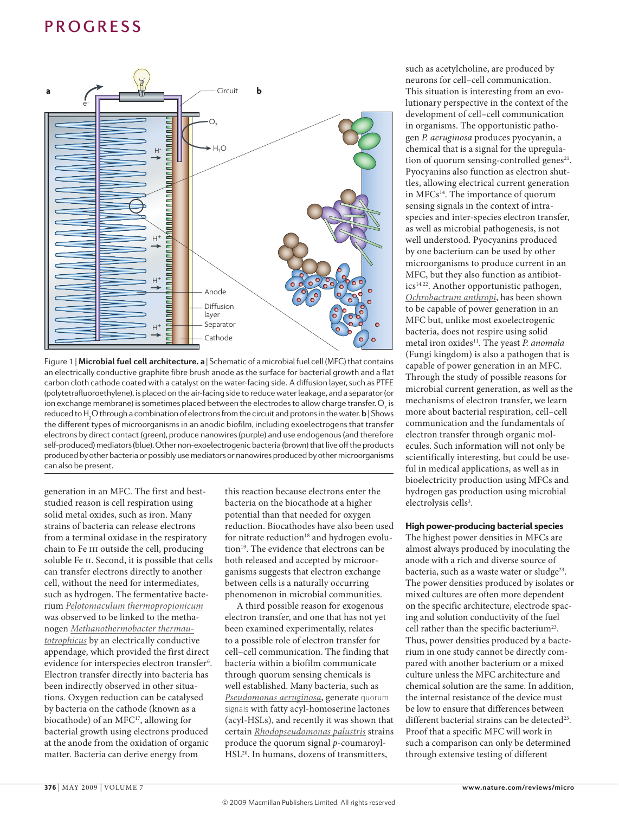

**Figure 1 | <b>Microbial fuel cell architecture. a** | Schematic of a microbial fuel cell (MFC) that contains **a** an electrically conductive graphite fibre brush anode as the surface for bacterial growth and a flat carbon cloth cathode coated with a catalyst on the water-facing side. A diffusion layer, such as PTFE (polytetrafluoroethylene), is placed on the air-facing side to reduce water leakage, and a separator (or ion exchange membrane) is sometimes placed between the electrodes to allow charge transfer.  $\mathrm{O}_\mathrm{2}$  is reduced to H<sub>2</sub>O through a combination of electrons from the circuit and protons in the water. **b** | Shows the different types of microorganisms in an anodic biofilm, including exoelectrogens that transfer electrons by direct contact (green), produce nanowires (purple) and use endogenous (and therefore self-produced) mediators (blue). Other non-exoelectrogenic bacteria (brown) that live off the products produced by other bacteria or possibly use mediators or nanowires produced by other microorganisms can also be present.

generation in an MFC. The first and beststudied reason is cell respiration using solid metal oxides, such as iron. Many strains of bacteria can release electrons from a terminal oxidase in the respiratory chain to Fe III outside the cell, producing soluble Fe II. Second, it is possible that cells can transfer electrons directly to another cell, without the need for intermediates, such as hydrogen. The fermentative bacterium *[Pelotomaculum thermopropionicum](http://www.ncbi.nlm.nih.gov/sites/entrez?Db=genomeprj&cmd=ShowDetailView&TermToSearch=19023)* was observed to be linked to the methanogen *[Methanothermobacter thermau](http://www.ncbi.nlm.nih.gov/sites/entrez?Db=genomeprj&cmd=ShowDetailView&TermToSearch=289)[totrophicus](http://www.ncbi.nlm.nih.gov/sites/entrez?Db=genomeprj&cmd=ShowDetailView&TermToSearch=289)* by an electrically conductive appendage, which provided the first direct evidence for interspecies electron transfer<sup>6</sup>. Electron transfer directly into bacteria has been indirectly observed in other situations. Oxygen reduction can be catalysed by bacteria on the cathode (known as a biocathode) of an MFC<sup>17</sup>, allowing for bacterial growth using electrons produced at the anode from the oxidation of organic matter. Bacteria can derive energy from

this reaction because electrons enter the bacteria on the biocathode at a higher potential than that needed for oxygen reduction. Biocathodes have also been used for nitrate reduction<sup>18</sup> and hydrogen evolution<sup>19</sup>. The evidence that electrons can be both released and accepted by microorganisms suggests that electron exchange between cells is a naturally occurring phenomenon in microbial communities.

A third possible reason for exogenous electron transfer, and one that has not yet been examined experimentally, relates to a possible role of electron transfer for cell–cell communication. The finding that bacteria within a biofilm communicate through quorum sensing chemicals is well established. Many bacteria, such as *[Pseudomonas aeruginosa](http://www.ncbi.nlm.nih.gov/sites/entrez?db=genomeprj&cmd=Retrieve&dopt=Overview&list_uids=12339)*, generate quorum signals with fatty acyl-homoserine lactones (acyl-HSls), and recently it was shown that certain *[Rhodopseudomonas palustris](http://www.ncbi.nlm.nih.gov/sites/entrez?db=genomeprj&cmd=Retrieve&dopt=Overview&list_uids=15748)* strains produce the quorum signal *p*-coumaroyl-HSl20. In humans, dozens of transmitters,

such as acetylcholine, are produced by neurons for cell–cell communication. This situation is interesting from an evolutionary perspective in the context of the development of cell–cell communication in organisms. The opportunistic pathogen *P. aeruginosa* produces pyocyanin, a chemical that is a signal for the upregulation of quorum sensing-controlled genes $^{21}$ . Pyocyanins also function as electron shuttles, allowing electrical current generation in MFCs<sup>14</sup>. The importance of quorum sensing signals in the context of intraspecies and inter-species electron transfer, as well as microbial pathogenesis, is not well understood. Pyocyanins produced by one bacterium can be used by other microorganisms to produce current in an MFC, but they also function as antibiotics<sup>14,22</sup>. Another opportunistic pathogen, *[Ochrobactrum anthropi](http://www.ncbi.nlm.nih.gov/sites/entrez?Db=genomeprj&cmd=ShowDetailView&TermToSearch=19485)*, has been shown to be capable of power generation in an MFC but, unlike most exoelectrogenic bacteria, does not respire using solid metal iron oxides11*.* The yeast *P. anomala* (Fungi kingdom) is also a pathogen that is capable of power generation in an MFC. Through the study of possible reasons for microbial current generation, as well as the mechanisms of electron transfer, we learn more about bacterial respiration, cell–cell communication and the fundamentals of electron transfer through organic molecules. Such information will not only be scientifically interesting, but could be useful in medical applications, as well as in bioelectricity production using MFCs and hydrogen gas production using microbial electrolysis cells<sup>3</sup>.

#### High power-producing bacterial species

The highest power densities in MFCs are almost always produced by inoculating the anode with a rich and diverse source of bacteria, such as a waste water or sludge<sup>23</sup>. The power densities produced by isolates or mixed cultures are often more dependent on the specific architecture, electrode spacing and solution conductivity of the fuel cell rather than the specific bacterium<sup>23</sup>. Thus, power densities produced by a bacterium in one study cannot be directly compared with another bacterium or a mixed culture unless the MFC architecture and chemical solution are the same. In addition, the internal resistance of the device must be low to ensure that differences between different bacterial strains can be detected<sup>23</sup>. Proof that a specific MFC will work in such a comparison can only be determined through extensive testing of different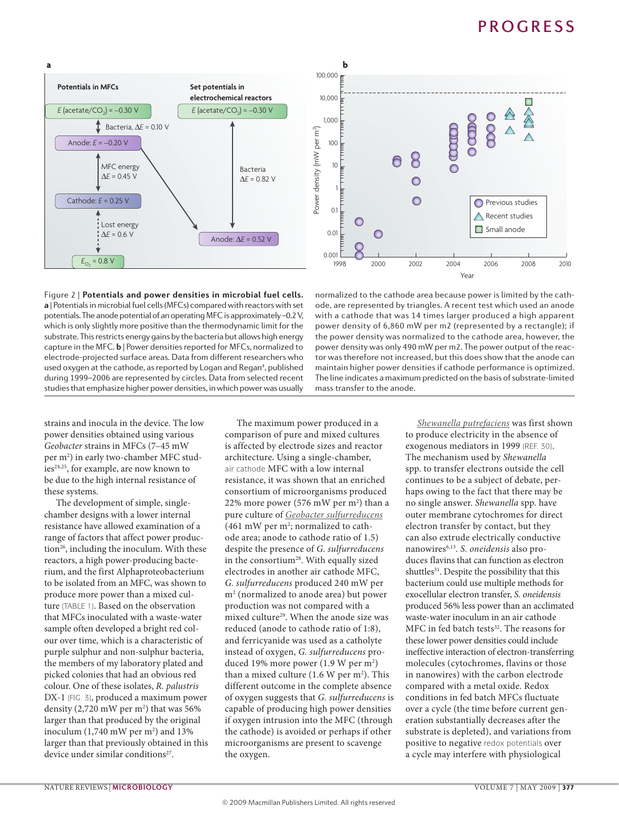



Figure 2 | **Potentials and power densities in microbial fuel cells. a** | Potentials in microbial fuel cells (MFCs) compared with reactors with set potentials. The anode potential of an operating MFC is approximately –0.2V, which is only slightly more positive than the thermodynamic limit for the substrate. This restricts energy gains by the bacteria but allows high energy capture in the MFC. **b** | Power densities reported for MFCs, normalized to electrode-projected surface areas. Data from different researchers who used oxygen at the cathode, as reported by Logan and Regan<sup>4</sup>, published during 1999–2006 are represented by circles. Data from selected recent studies that emphasize higher power densities, in which power was usually

normalized to the cathode area because power is limited by the cathode, are represented by triangles. A recent test which used an anode with a cathode that was 14 times larger produced a high apparent power density of 6,860 mW per m2 (represented by a rectangle); if the power density was normalized to the cathode area, however, the power density was only 490 mW per m2. The power output of the reactor was therefore not increased, but this does show that the anode can maintain higher power densities if cathode performance is optimized. The line indicates a maximum predicted on the basis of substrate-limited mass transfer to the anode.

strains and inocula in the device. The low power densities obtained using various *Geobacter* strains in MFCs (7–45 mW per m2 ) in early two-chamber MFC studies<sup>24,25</sup>, for example, are now known to be due to the high internal resistance of these systems.

The development of simple, singlechamber designs with a lower internal resistance have allowed examination of a range of factors that affect power production<sup>26</sup>, including the inoculum. With these reactors, a high power-producing bacterium, and the first Alphaproteobacterium to be isolated from an MFC, was shown to produce more power than a mixed culture (TABLE 1). Based on the observation that MFCs inoculated with a waste-water sample often developed a bright red colour over time, which is a characteristic of purple sulphur and non-sulphur bacteria, the members of my laboratory plated and picked colonies that had an obvious red colour. one of these isolates, *R. palustris* DX-1 (FIG. 3), produced a maximum power density  $(2,720 \text{ mW per m}^2)$  that was 56% larger than that produced by the original inoculum  $(1,740 \text{ mW per m}^2)$  and  $13\%$ larger than that previously obtained in this device under similar conditions<sup>27</sup>.

The maximum power produced in a comparison of pure and mixed cultures is affected by electrode sizes and reactor architecture. Using a single-chamber, air cathode MFC with a low internal resistance, it was shown that an enriched consortium of microorganisms produced 22% more power (576 mW per m<sup>2</sup>) than a pure culture of *Geobacter [sulfurreducens](http://www.ncbi.nlm.nih.gov/sites/entrez?Db=genomeprj&cmd=ShowDetailView&TermToSearch=192)*  $(461 \text{ mW per m}^2;$  normalized to cathode area; anode to cathode ratio of 1.5) despite the presence of *G. sulfurreducens* in the consortium<sup>28</sup>. With equally sized electrodes in another air cathode MFC, *G. sulfurreducens* produced 240 mW per m2 (normalized to anode area) but power production was not compared with a mixed culture<sup>29</sup>. When the anode size was reduced (anode to cathode ratio of 1:8), and ferricyanide was used as a catholyte instead of oxygen, *G. sulfurreducens* produced 19% more power (1.9 W per m<sup>2</sup>) than a mixed culture  $(1.6 \text{ W per m}^2)$ . This different outcome in the complete absence of oxygen suggests that *G. sulfurreducens* is capable of producing high power densities if oxygen intrusion into the MFC (through the cathode) is avoided or perhaps if other microorganisms are present to scavenge the oxygen.

*[Shewanella putrefaciens](http://www.ncbi.nlm.nih.gov/sites/entrez?db=genomeprj&cmd=Retrieve&dopt=Overview&list_uids=13396)* was first shown to produce electricity in the absence of exogenous mediators in 1999 (REF. 30). The mechanism used by *Shewanella* spp. to transfer electrons outside the cell continues to be a subject of debate, perhaps owing to the fact that there may be no single answer. *Shewanella* spp. have outer membrane cytochromes for direct electron transfer by contact, but they can also extrude electrically conductive nanowires6,13. *S. oneidensis* also produces flavins that can function as electron shuttles<sup>31</sup>. Despite the possibility that this bacterium could use multiple methods for exocellular electron transfer, *S. oneidensis* produced 56% less power than an acclimated waste-water inoculum in an air cathode MFC in fed batch tests<sup>32</sup>. The reasons for these lower power densities could include ineffective interaction of electron-transferring molecules (cytochromes, flavins or those in nanowires) with the carbon electrode compared with a metal oxide. Redox conditions in fed batch MFCs fluctuate over a cycle (the time before current generation substantially decreases after the substrate is depleted), and variations from positive to negative redox potentials over a cycle may interfere with physiological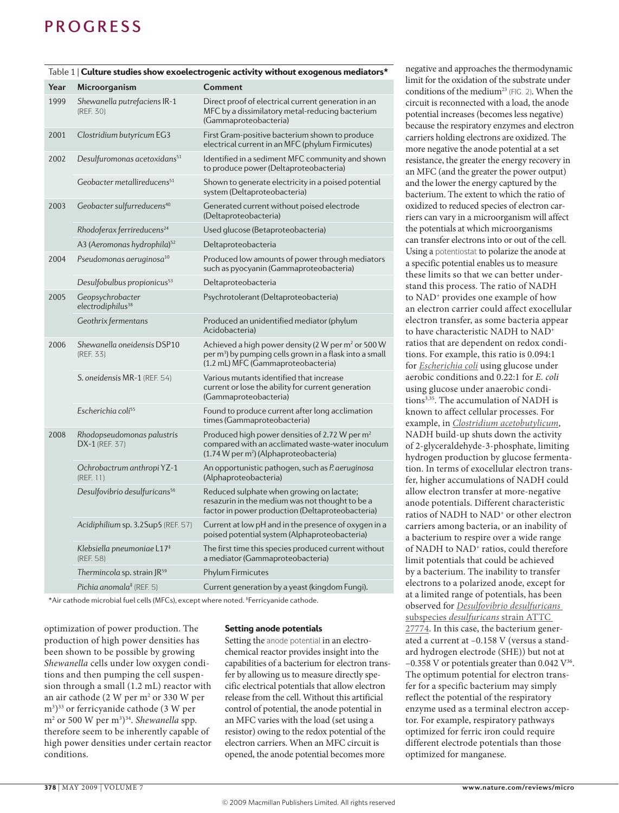| Table 1   Culture studies show exoelectrogenic activity without exogenous mediators* |                                                     |                                                                                                                                                                             |
|--------------------------------------------------------------------------------------|-----------------------------------------------------|-----------------------------------------------------------------------------------------------------------------------------------------------------------------------------|
| Year                                                                                 | Microorganism                                       | Comment                                                                                                                                                                     |
| 1999                                                                                 | Shewanella putrefaciens IR-1<br>(REF. 30)           | Direct proof of electrical current generation in an<br>MFC by a dissimilatory metal-reducing bacterium<br>(Gammaproteobacteria)                                             |
| 2001                                                                                 | Clostridium butyricum EG3                           | First Gram-positive bacterium shown to produce<br>electrical current in an MFC (phylum Firmicutes)                                                                          |
| 2002                                                                                 | Desulfuromonas acetoxidans <sup>51</sup>            | ldentified in a sediment MFC community and shown<br>to produce power (Deltaproteobacteria)                                                                                  |
|                                                                                      | Geobacter metallireducens <sup>51</sup>             | Shown to generate electricity in a poised potential<br>system (Deltaproteobacteria)                                                                                         |
| 2003                                                                                 | Geobacter sulfurreducens <sup>40</sup>              | Generated current without poised electrode<br>(Deltaproteobacteria)                                                                                                         |
|                                                                                      | Rhodoferax ferrireducens <sup>24</sup>              | Used glucose (Betaproteobacteria)                                                                                                                                           |
|                                                                                      | A3 (Aeromonas hydrophila) <sup>52</sup>             | Deltaproteobacteria                                                                                                                                                         |
| 2004                                                                                 | Pseudomonas aeruginosa <sup>10</sup>                | Produced low amounts of power through mediators<br>such as pyocyanin (Gammaproteobacteria)                                                                                  |
|                                                                                      | Desulfobulbus propionicus <sup>53</sup>             | Deltaproteobacteria                                                                                                                                                         |
| 2005                                                                                 | Geopsychrobacter<br>electrodiphilus <sup>38</sup>   | Psychrotolerant (Deltaproteobacteria)                                                                                                                                       |
|                                                                                      | Geothrix fermentans                                 | Produced an unidentified mediator (phylum<br>Acidobacteria)                                                                                                                 |
| 2006                                                                                 | Shewanella oneidensis DSP10<br>(REF. 33)            | Achieved a high power density (2 W per m <sup>2</sup> or 500 W<br>per m <sup>3</sup> ) by pumping cells grown in a flask into a small<br>(1.2 mL) MFC (Gammaproteobacteria) |
|                                                                                      | S. oneidensis MR-1 (REF. 54)                        | Various mutants identified that increase<br>current or lose the ability for current generation<br>(Gammaproteobacteria)                                                     |
|                                                                                      | Escherichia coli <sup>55</sup>                      | Found to produce current after long acclimation<br>times (Gammaproteobacteria)                                                                                              |
| 2008                                                                                 | Rhodopseudomonas palustris<br>DX-1 (REF. 37)        | Produced high power densities of 2.72 W per $m2$<br>compared with an acclimated waste-water inoculum<br>$(1.74 W per m2)$ (Alphaproteobacteria)                             |
|                                                                                      | Ochrobactrum anthropi YZ-1<br>(REF. 11)             | An opportunistic pathogen, such as P. aeruginosa<br>(Alphaproteobacteria)                                                                                                   |
|                                                                                      | Desulfovibrio desulfuricans <sup>56</sup>           | Reduced sulphate when growing on lactate;<br>resazurin in the medium was not thought to be a<br>factor in power production (Deltaproteobacteria)                            |
|                                                                                      | Acidiphilium sp. 3.2Sup5 (REF. 57)                  | Current at low pH and in the presence of oxygen in a<br>poised potential system (Alphaproteobacteria)                                                                       |
|                                                                                      | Klebsiella pneumoniae L17 <sup>+</sup><br>(REF. 58) | The first time this species produced current without<br>a mediator (Gammaproteobacteria)                                                                                    |
|                                                                                      | Thermincola sp. strain JR <sup>59</sup>             | <b>Phylum Firmicutes</b>                                                                                                                                                    |
|                                                                                      | Pichia anomala <sup>‡</sup> (REF. 5)                | Current generation by a yeast (kingdom Fungi).                                                                                                                              |

\*Air cathode microbial fuel cells (MFCs), except where noted. <sup>#</sup>Ferricyanide cathode.

optimization of power production. The production of high power densities has been shown to be possible by growing *Shewanella* cells under low oxygen conditions and then pumping the cell suspension through a small (1.2 ml) reactor with an air cathode (2 W per m2 or 330 W per m3 )33 or ferricyanide cathode (3 W per m<sup>2</sup> or 500 W per m<sup>3</sup>)<sup>34</sup>. *Shewanella* spp. therefore seem to be inherently capable of high power densities under certain reactor conditions.

#### Setting anode potentials

Setting the anode potential in an electrochemical reactor provides insight into the capabilities of a bacterium for electron transfer by allowing us to measure directly specific electrical potentials that allow electron release from the cell. Without this artificial control of potential, the anode potential in an MFC varies with the load (set using a resistor) owing to the redox potential of the electron carriers. When an MFC circuit is opened, the anode potential becomes more

negative and approaches the thermodynamic limit for the oxidation of the substrate under conditions of the medium<sup>23</sup> (FIG. 2). When the circuit is reconnected with a load, the anode potential increases (becomes less negative) because the respiratory enzymes and electron carriers holding electrons are oxidized. The more negative the anode potential at a set resistance, the greater the energy recovery in an MFC (and the greater the power output) and the lower the energy captured by the bacterium. The extent to which the ratio of oxidized to reduced species of electron carriers can vary in a microorganism will affect the potentials at which microorganisms can transfer electrons into or out of the cell. Using a potentiostat to polarize the anode at a specific potential enables us to measure these limits so that we can better understand this process. The ratio of nADH to NAD<sup>+</sup> provides one example of how an electron carrier could affect exocellular electron transfer, as some bacteria appear to have characteristic NADH to NAD<sup>+</sup> ratios that are dependent on redox conditions. For example, this ratio is 0.094:1 for *[Escherichia](http://www.ncbi.nlm.nih.gov/sites/entrez?db=genomeprj&cmd=Retrieve&dopt=Overview&list_uids=12319) coli* using glucose under aerobic conditions and 0.22:1 for *E. coli* using glucose under anaerobic conditions<sup>3,35</sup>. The accumulation of NADH is known to affect cellular processes. For example, in *[Clostridium acetobutylicum](http://www.ncbi.nlm.nih.gov/sites/entrez?Db=genomeprj&cmd=ShowDetailView&TermToSearch=77)*, nADH build-up shuts down the activity of 2-glyceraldehyde-3-phosphate, limiting hydrogen production by glucose fermentation. In terms of exocellular electron transfer, higher accumulations of nADH could allow electron transfer at more-negative anode potentials. Different characteristic ratios of NADH to NAD<sup>+</sup> or other electron carriers among bacteria, or an inability of a bacterium to respire over a wide range of NADH to NAD<sup>+</sup> ratios, could therefore limit potentials that could be achieved by a bacterium. The inability to transfer electrons to a polarized anode, except for at a limited range of potentials, has been observed for *[Desulfovibrio desulfuricans](http://www.ncbi.nlm.nih.gov/sites/entrez?Db=genomeprj&cmd=ShowDetailView&TermToSearch=29493)* subspecies *desulfuricans* [strain ATTC](http://www.ncbi.nlm.nih.gov/sites/entrez?Db=genomeprj&cmd=ShowDetailView&TermToSearch=29493)  [27774.](http://www.ncbi.nlm.nih.gov/sites/entrez?Db=genomeprj&cmd=ShowDetailView&TermToSearch=29493) In this case, the bacterium generated a current at –0.158 V (versus a standard hydrogen electrode (SHE)) but not at  $-0.358$  V or potentials greater than 0.042 V<sup>36</sup>. The optimum potential for electron transfer for a specific bacterium may simply reflect the potential of the respiratory enzyme used as a terminal electron acceptor. For example, respiratory pathways optimized for ferric iron could require different electrode potentials than those optimized for manganese.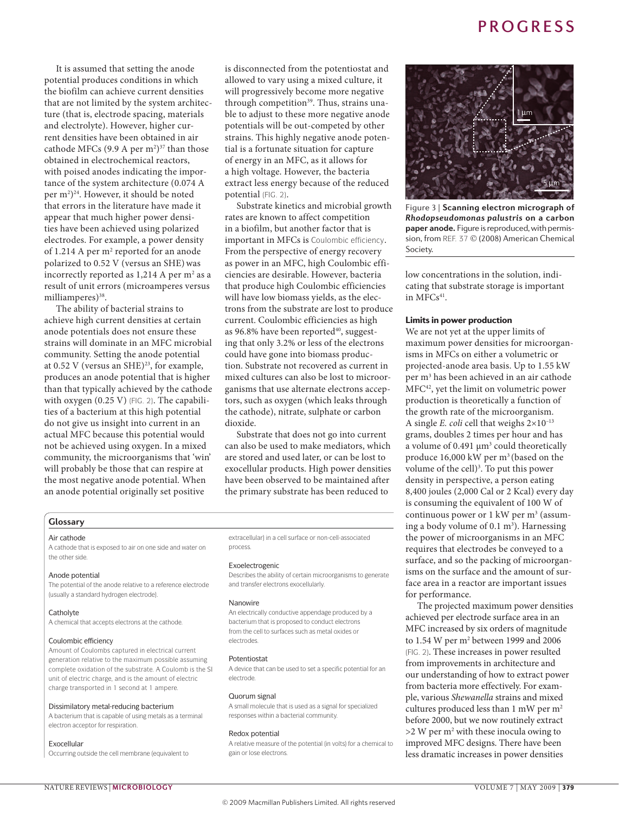It is assumed that setting the anode potential produces conditions in which the biofilm can achieve current densities that are not limited by the system architecture (that is, electrode spacing, materials and electrolyte). However, higher current densities have been obtained in air cathode MFCs (9.9 A per  $m<sup>2</sup>$ )<sup>37</sup> than those obtained in electrochemical reactors, with poised anodes indicating the importance of the system architecture (0.074 A per m2 )24. However, it should be noted that errors in the literature have made it appear that much higher power densities have been achieved using polarized electrodes. For example, a power density of 1.214 A per m<sup>2</sup> reported for an anode polarized to 0.52 V (versus an SHE)was incorrectly reported as 1,214 A per  $m^2$  as a result of unit errors (microamperes versus milliamperes)<sup>38</sup>.

The ability of bacterial strains to achieve high current densities at certain anode potentials does not ensure these strains will dominate in an MFC microbial community. Setting the anode potential at 0.52 V (versus an SHE) $^{23}$ , for example, produces an anode potential that is higher than that typically achieved by the cathode with oxygen (0.25 V) (FIG. 2). The capabilities of a bacterium at this high potential do not give us insight into current in an actual MFC because this potential would not be achieved using oxygen. In a mixed community, the microorganisms that 'win' will probably be those that can respire at the most negative anode potential. When an anode potential originally set positive

is disconnected from the potentiostat and allowed to vary using a mixed culture, it will progressively become more negative through competition<sup>39</sup>. Thus, strains unable to adjust to these more negative anode potentials will be out-competed by other strains. This highly negative anode potential is a fortunate situation for capture of energy in an MFC, as it allows for a high voltage. However, the bacteria extract less energy because of the reduced potential (FIG. 2).

Substrate kinetics and microbial growth rates are known to affect competition in a biofilm, but another factor that is important in MFCs is Coulombic efficiency. From the perspective of energy recovery as power in an MFC, high Coulombic efficiencies are desirable. However, bacteria that produce high Coulombic efficiencies will have low biomass yields, as the electrons from the substrate are lost to produce current. Coulombic efficiencies as high as 96.8% have been reported<sup>40</sup>, suggesting that only 3.2% or less of the electrons could have gone into biomass production. Substrate not recovered as current in mixed cultures can also be lost to microorganisms that use alternate electrons acceptors, such as oxygen (which leaks through the cathode), nitrate, sulphate or carbon dioxide.

Substrate that does not go into current can also be used to make mediators, which are stored and used later, or can be lost to exocellular products. High power densities have been observed to be maintained after the primary substrate has been reduced to

#### **glossary**

Air cathode

A cathode that is exposed to air on one side and water on the other side.

#### Anode potential

The potential of the anode relative to a reference electrode (usually a standard hydrogen electrode).

#### **Catholyte**

A chemical that accepts electrons at the cathode.

#### Coulombic efficiency

Amount of Coulombs captured in electrical current generation relative to the maximum possible assuming complete oxidation of the substrate. A Coulomb is the SI unit of electric charge, and is the amount of electric charge transported in 1 second at 1 ampere.

#### Dissimilatory metal-reducing bacterium

A bacterium that is capable of using metals as a terminal electron acceptor for respiration.

#### Exocellular

Occurring outside the cell membrane (equivalent to

extracellular) in a cell surface or non-cell-associated process.

#### Exoelectrogenic

Describes the ability of certain microorganisms to generate and transfer electrons exocellularly.

#### Nanowire

An electrically conductive appendage produced by a bacterium that is proposed to conduct electrons from the cell to surfaces such as metal oxides or electrodes.

#### Potentiostat

A device that can be used to set a specific potential for an electrode.

#### Quorum signal

A small molecule that is used as a signal for specialized responses within a bacterial community.

#### Redox potential

A relative measure of the potential (in volts) for a chemical to gain or lose electrons.



**Nature Reviews** | **Microbiology** *Rhodopseudomonas palustris* **on a carbon**  Figure 3 | **Scanning electron micrograph of paper anode.** Figure is reproduced, with permission, from REF. 37 © (2008) American Chemical society.

low concentrations in the solution, indicating that substrate storage is important in  $MFCs<sup>41</sup>$ .

#### Limits in power production

We are not yet at the upper limits of maximum power densities for microorganisms in MFCs on either a volumetric or projected-anode area basis. Up to 1.55 kW per m3 has been achieved in an air cathode MFC42, yet the limit on volumetric power production is theoretically a function of the growth rate of the microorganism. A single *E. coli* cell that weighs 2×10–13 grams, doubles 2 times per hour and has a volume of  $0.491 \mu m^3$  could theoretically produce 16,000 kW per m<sup>3</sup> (based on the volume of the cell)<sup>3</sup>. To put this power density in perspective, a person eating 8,400 joules (2,000 Cal or 2 Kcal) every day is consuming the equivalent of 100 W of continuous power or  $1 \text{ kW}$  per m<sup>3</sup> (assuming a body volume of  $0.1 \text{ m}^3$ ). Harnessing the power of microorganisms in an MFC requires that electrodes be conveyed to a surface, and so the packing of microorganisms on the surface and the amount of surface area in a reactor are important issues for performance.

The projected maximum power densities achieved per electrode surface area in an MFC increased by six orders of magnitude to 1.54 W per m<sup>2</sup> between 1999 and 2006 (FIG. 2). These increases in power resulted from improvements in architecture and our understanding of how to extract power from bacteria more effectively. For example, various *Shewanella* strains and mixed cultures produced less than 1 mW per m2 before 2000, but we now routinely extract  $>$ 2 W per m<sup>2</sup> with these inocula owing to improved MFC designs. There have been less dramatic increases in power densities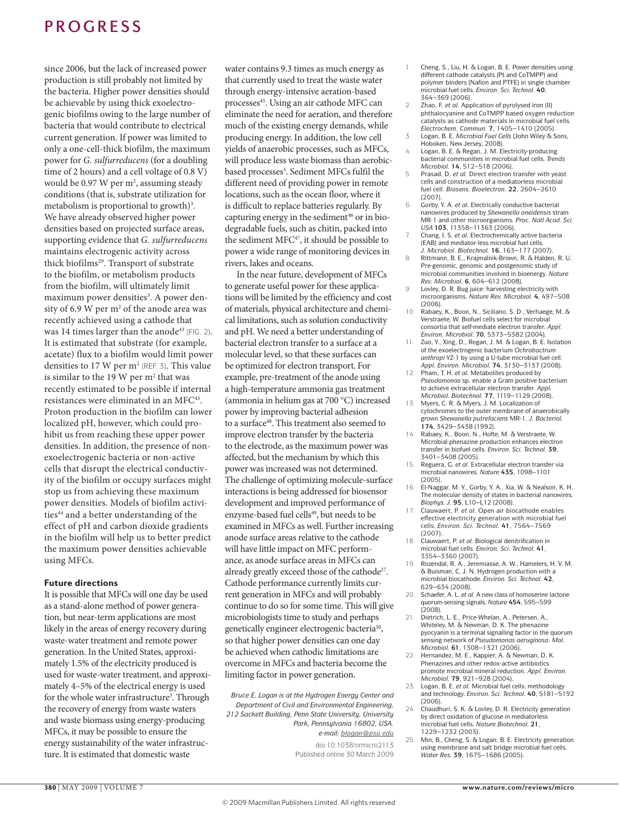since 2006, but the lack of increased power production is still probably not limited by the bacteria. Higher power densities should be achievable by using thick exoelectrogenic biofilms owing to the large number of bacteria that would contribute to electrical current generation. If power was limited to only a one-cell-thick biofilm, the maximum power for *G. sulfurreducens* (for a doubling time of 2 hours) and a cell voltage of 0.8 V) would be 0.97 W per m<sup>2</sup>, assuming steady conditions (that is, substrate utilization for metabolism is proportional to growth $)^3$ . We have already observed higher power densities based on projected surface areas, supporting evidence that *G. sulfurreducens* maintains electrogenic activity across thick biofilms<sup>29</sup>. Transport of substrate to the biofilm, or metabolism products from the biofilm, will ultimately limit maximum power densities<sup>3</sup>. A power density of 6.9 W per  $m<sup>2</sup>$  of the anode area was recently achieved using a cathode that was 14 times larger than the anode<sup>43</sup> (FIG. 2). It is estimated that substrate (for example, acetate) flux to a biofilm would limit power densities to 17 W per m<sup>2</sup> (REF. 3). This value is similar to the 19 W per  $m^2$  that was recently estimated to be possible if internal resistances were eliminated in an MFC43. Proton production in the biofilm can lower localized pH, however, which could prohibit us from reaching these upper power densities. In addition, the presence of nonexoelectrogenic bacteria or non-active cells that disrupt the electrical conductivity of the biofilm or occupy surfaces might stop us from achieving these maximum power densities. Models of biofilm activities<sup>44</sup> and a better understanding of the effect of pH and carbon dioxide gradients in the biofilm will help us to better predict the maximum power densities achievable using MFCs.

#### Future directions

It is possible that MFCs will one day be used as a stand-alone method of power generation, but near-term applications are most likely in the areas of energy recovery during waste-water treatment and remote power generation. In the United States, approximately 1.5% of the electricity produced is used for waste-water treatment, and approximately 4–5% of the electrical energy is used for the whole water infrastructure<sup>3</sup>. Through the recovery of energy from waste waters and waste biomass using energy-producing MFCs, it may be possible to ensure the energy sustainability of the water infrastructure. It is estimated that domestic waste

water contains 9.3 times as much energy as that currently used to treat the waste water through energy-intensive aeration-based processes<sup>45</sup>. Using an air cathode MFC can eliminate the need for aeration, and therefore much of the existing energy demands, while producing energy. In addition, the low cell yields of anaerobic processes, such as MFCs, will produce less waste biomass than aerobicbased processes<sup>3</sup>. Sediment MFCs fulfil the different need of providing power in remote locations, such as the ocean floor, where it is difficult to replace batteries regularly. By capturing energy in the sediment<sup>46</sup> or in biodegradable fuels, such as chitin, packed into the sediment MFC<sup>47</sup>, it should be possible to power a wide range of monitoring devices in rivers, lakes and oceans.

In the near future, development of MFCs to generate useful power for these applications will be limited by the efficiency and cost of materials, physical architecture and chemical limitations, such as solution conductivity and pH. We need a better understanding of bacterial electron transfer to a surface at a molecular level, so that these surfaces can be optimized for electron transport. For example, pre-treatment of the anode using a high-temperature ammonia gas treatment (ammonia in helium gas at 700 °C) increased power by improving bacterial adhesion to a surface<sup>48</sup>. This treatment also seemed to improve electron transfer by the bacteria to the electrode, as the maximum power was affected, but the mechanism by which this power was increased was not determined. The challenge of optimizing molecule-surface interactions is being addressed for biosensor development and improved performance of enzyme-based fuel cells<sup>49</sup>, but needs to be examined in MFCs as well. Further increasing anode surface areas relative to the cathode will have little impact on MFC performance, as anode surface areas in MFCs can already greatly exceed those of the cathode<sup>27</sup>. Cathode performance currently limits current generation in MFCs and will probably continue to do so for some time. This will give microbiologists time to study and perhaps genetically engineer electrogenic bacteria<sup>50</sup>, so that higher power densities can one day be achieved when cathodic limitations are overcome in MFCs and bacteria become the limiting factor in power generation.

*Bruce E. Logan is at the Hydrogen Energy Center and Department of Civil and Environmental Engineering, 212 Sackett Building, Penn State University, University Park, Pennsylvania 16802, USA. e‑mail: [blogan@psu.edu](mailto:blogan@psu.edu)*

doi:10.1038/nrmicro2113 Published online 30 March 2009

- 1. Cheng, S., Liu, H. & Logan, B. E. Power densities using different cathode catalysts (Pt and CoTMPP) and polymer binders (Nafion and PTFE) in single chamber microbial fuel cells. *Environ. Sci. Technol.* **40**, 364–369 (2006).
- 2. Zhao, F. *et al.* Application of pyrolysed iron (II) phthalocyanine and CoTMPP based oxygen reduction catalysts as cathode materials in microbial fuel cells. *Electrochem. Commun.* **7**, 1405–1410 (2005).
- 3. Logan, B. E. *Microbial Fuel Cells* (John Wiley & Sons, Hoboken, New Jersey, 2008).
- Logan, B. E. & Regan, J. M. Electricity-producing bacterial communities in microbial fuel cells. *Trends Microbiol.* **14**, 512–518 (2006).
- 5. Prasad, D. *et al.* Direct electron transfer with yeast cells and construction of a mediatorless microbial fuel cell. *Biosens. Bioelectron.* **22**, 2604–2610 (2007).
- 6. Gorby, Y. A. *et al.* Electrically conductive bacterial nanowires produced by *Shewanella oneidensis* strain MR-1 and other microorganisms. *Proc. Natl Acad. Sci. USA* **103**, 11358–11363 (2006).
- 7. Chang, I. S. *et al.* Electrochemically active bacteria (EAB) and mediator-less microbial fuel cells. *J. Microbiol. Biotechnol.* **16**, 163–177 (2007).
- 8. Rittmann, B. E., Krajmalnik-Brown. R. & Halden, R. U. Pre-genomic, genomic and postgenomic study of microbial communities involved in bioenergy. *Nature Rev. Microbiol.* **6**, 604–612 (2008).
- 9. Lovley, D. R. Bug juice: harvesting electricity with microorganisms. *Nature Rev. Microbiol.* **4**, 497–508 (2006).
- 10. Rabaey, K., Boon, N., Siciliano, S. D., Verhaege, M. & Verstraete, W. Biofuel cells select for microbial consortia that self-mediate electron transfer. *Appl. Environ. Microbiol.* **70**, 5373–5382 (2004).
- 11. Zuo, Y., Xing, D., Regan, J. M. & Logan, B. E. Isolation of the exoelectrogenic bacterium *Ochrobactrum anthropi* YZ*‑*1 by using a U-tube microbial fuel cell. *Appl. Environ. Microbiol.* **74**, 3130–3137 (2008).
- 12. Pham, T. H. *et al.* Metabolites produced by *Pseudomonas* sp. enable a Gram positive bacterium to achieve extracellular electron transfer. *Appl. Microbiol. Biotechnol.* **77**, 1119–1129 (2008).
- 13. Myers, C. R. & Myers, J. M. Localization of cytochromes to the outer membrane of anaerobically grown *Shewanella putrefaciens* MR-1. *J. Bacteriol.* **174**, 3429–3438 (1992).
- Rabaey, K., Boon, N., Hofte, M. & Verstraete, W. Microbial phenazine production enhances electron transfer in biofuel cells. *Environ. Sci. Technol.* **39**, 3401–3408 (2005).
- 15. Reguera, G. *et al.* Extracellular electron transfer via microbial nanowires. *Nature* **435**, 1098–1101 (2005).
- 16. El-Naggar, M. Y., Gorby, Y. A., Xia, W. & Nealson, K. H. The molecular density of states in bacterial nanowires. *Biophys. J.* **95**, L10–L12 (2008).
- 17. Clauwaert, P. *et al.* Open air biocathode enables effective electricity generation with microbial fuel cells. *Environ. Sci. Technol.* **41**, 7564–7569 (2007).
- 18. Clauwaert, P. *et al.* Biological denitrification in microbial fuel cells. *Environ. Sci. Technol.* **41**, 3354–3360 (2007).
- Rozendal, R. A., Jeremiasse, A. W., Hamelers, H. V. M. & Buisman, C. J. N. Hydrogen production with a microbial biocathode. *Environ. Sci. Technol.* **42**, 629–634 (2008).
- 20. Schaefer, A. L. *et al.* A new class of homoserine lactone quorum-sensing signals. *Nature* **454**, 595–599 (2008).
- 21. Dietrich, L. E., Price-Whelan, A., Petersen, A., Whiteley, M. & Newman, D. K. The phenazine pyocyanin is a terminal signalling factor in the quorum sensing network of *Pseudomonas aeruginosa*. *Mol. Microbiol.* **61**, 1308–1321 (2006).
- 22. Hernandez, M. E., Kappier, A. & Newman, D. K. Phenazines and other redox-active antibiotics promote microbial mineral reduction. *Appl. Environ. Microbiol.* **79**, 921–928 (2004).
- 23. Logan, B. E. *et al.* Microbial fuel cells: methodology and technology. *Environ. Sci. Technol.* **40**, 5181–5192 (2006).
- 24. Chaudhuri, S. K. & Lovley, D. R. Electricity generation by direct oxidation of glucose in mediatorless microbial fuel cells. *Nature Biotechnol.* **21**, 1229–1232 (2003).
- Min, B., Cheng, S. & Logan, B. E. Electricity generation using membrane and salt bridge microbial fuel cells. *Water Res.* **39**, 1675–1686 (2005).